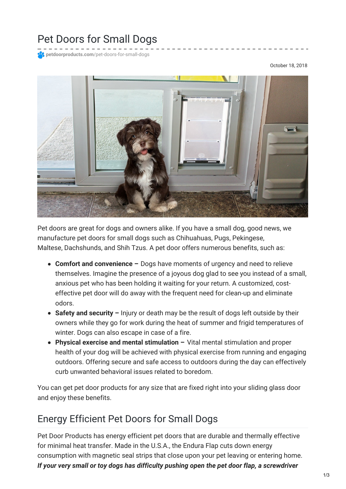## Pet Doors for Small Dogs

**petdoorproducts.com**[/pet-doors-for-small-dogs](https://petdoorproducts.com/pet-doors-for-small-dogs/)

October 18, 2018



Pet doors are great for dogs and owners alike. If you have a small dog, good news, we manufacture pet doors for small dogs such as Chihuahuas, Pugs, Pekingese, Maltese, Dachshunds, and Shih Tzus. A pet door offers numerous benefits, such as:

- **Comfort and convenience –** Dogs have moments of urgency and need to relieve themselves. Imagine the presence of a joyous dog glad to see you instead of a small, anxious pet who has been holding it waiting for your return. A customized, costeffective pet door will do away with the frequent need for clean-up and eliminate odors.
- **Safety and security –** Injury or death may be the result of dogs left outside by their owners while they go for work during the heat of summer and frigid temperatures of winter. Dogs can also escape in case of a fire.
- **Physical exercise and mental stimulation –** Vital mental stimulation and proper health of your dog will be achieved with physical exercise from running and engaging outdoors. Offering secure and safe access to outdoors during the day can effectively curb unwanted behavioral issues related to boredom.

You can get pet door products for any size that are fixed right into your sliding glass door and enjoy these benefits.

## Energy Efficient Pet Doors for Small Dogs

Pet Door Products has energy efficient pet doors that are durable and thermally effective for minimal heat transfer. Made in the U.S.A., the Endura Flap cuts down energy consumption with magnetic seal strips that close upon your pet leaving or entering home. *If your very small or toy dogs has difficulty pushing open the pet door flap, a screwdriver*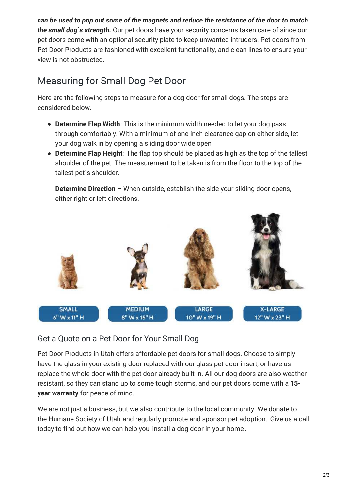*can be used to pop out some of the magnets and reduce the resistance of the door to match the small dog`s strength.* Our pet doors have your security concerns taken care of since our pet doors come with an optional security plate to keep unwanted intruders. Pet doors from Pet Door Products are fashioned with excellent functionality, and clean lines to ensure your view is not obstructed.

## Measuring for Small Dog Pet Door

Here are the following steps to measure for a dog door for small dogs. The steps are considered below.

- **Determine Flap Width**: This is the minimum width needed to let your dog pass through comfortably. With a minimum of one-inch clearance gap on either side, let your dog walk in by opening a sliding door wide open
- **Determine Flap Height**: The flap top should be placed as high as the top of the tallest shoulder of the pet. The measurement to be taken is from the floor to the top of the tallest pet`s shoulder.

**Determine Direction** – When outside, establish the side your sliding door opens, either right or left directions.



## Get a Quote on a Pet Door for Your Small Dog

Pet Door Products in Utah offers affordable pet doors for small dogs. Choose to simply have the glass in your existing door replaced with our glass pet door insert, or have us replace the whole door with the pet door already built in. All our dog doors are also weather resistant, so they can stand up to some tough storms, and our pet doors come with a **15 year warranty** for peace of mind.

We are not just a business, but we also contribute to the local community. We donate to the [Humane](https://www.utahhumane.org/) Society of Utah and regularly promote and sponsor pet [adoption.](https://petdoorproducts.com/) Give us a call today to find out how we can help you [install](https://petdoorproducts.com/professional-pet-door-installer-in-utah/) a dog door in your home .